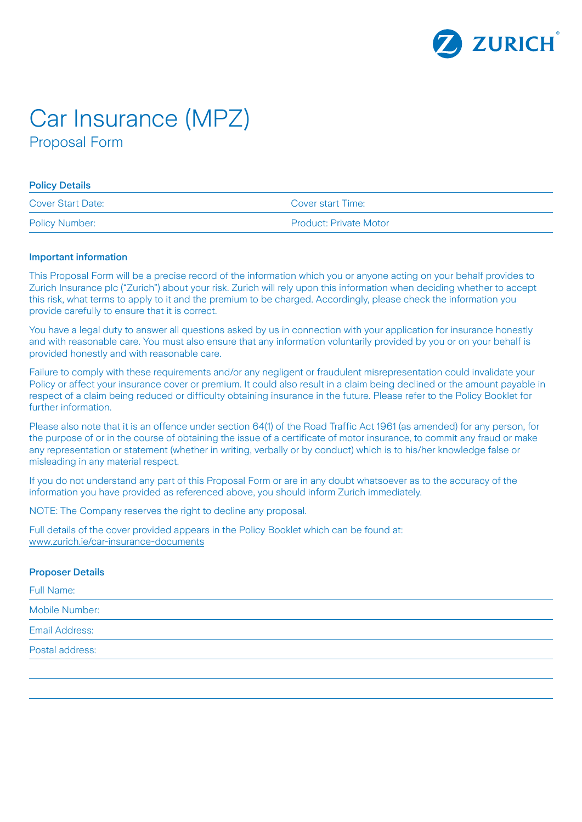

# Car Insurance (MPZ) Proposal Form

#### Policy Details

| <b>Cover Start Date:</b> | Cover start Time:             |
|--------------------------|-------------------------------|
| <b>Policy Number:</b>    | <b>Product: Private Motor</b> |

#### Important information

This Proposal Form will be a precise record of the information which you or anyone acting on your behalf provides to Zurich Insurance plc ("Zurich") about your risk. Zurich will rely upon this information when deciding whether to accept this risk, what terms to apply to it and the premium to be charged. Accordingly, please check the information you provide carefully to ensure that it is correct.

You have a legal duty to answer all questions asked by us in connection with your application for insurance honestly and with reasonable care. You must also ensure that any information voluntarily provided by you or on your behalf is provided honestly and with reasonable care.

Failure to comply with these requirements and/or any negligent or fraudulent misrepresentation could invalidate your Policy or affect your insurance cover or premium. It could also result in a claim being declined or the amount payable in respect of a claim being reduced or difficulty obtaining insurance in the future. Please refer to the Policy Booklet for further information.

Please also note that it is an offence under section 64(1) of the Road Traffic Act 1961 (as amended) for any person, for the purpose of or in the course of obtaining the issue of a certificate of motor insurance, to commit any fraud or make any representation or statement (whether in writing, verbally or by conduct) which is to his/her knowledge false or misleading in any material respect.

If you do not understand any part of this Proposal Form or are in any doubt whatsoever as to the accuracy of the information you have provided as referenced above, you should inform Zurich immediately.

NOTE: The Company reserves the right to decline any proposal.

Full details of the cover provided appears in the Policy Booklet which can be found at: [www.zurich.ie/car-insurance-documents](http://www.zurich.ie/car-insurance-documents)

#### Proposer Details

| Full Name:            |  |  |  |
|-----------------------|--|--|--|
| Mobile Number:        |  |  |  |
| <b>Email Address:</b> |  |  |  |
| Postal address:       |  |  |  |
|                       |  |  |  |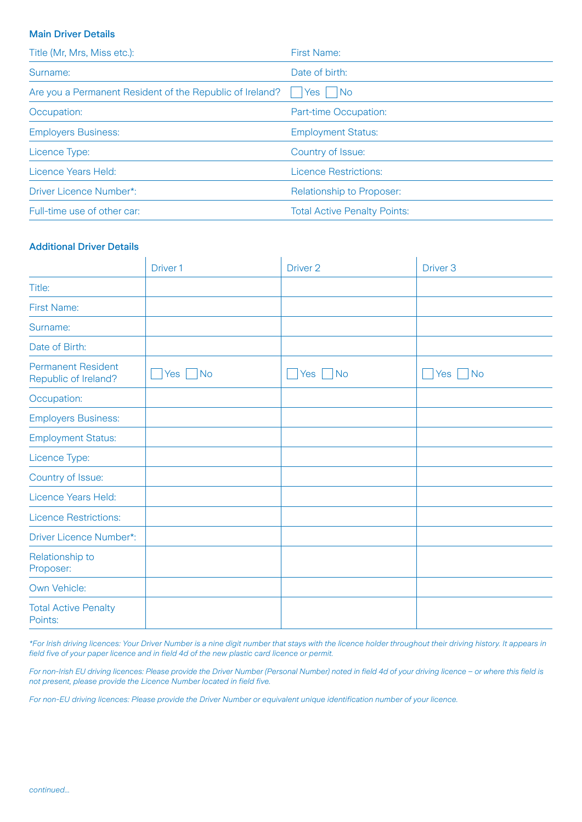# Main Driver Details

| Title (Mr, Mrs, Miss etc.):                              | <b>First Name:</b>                  |
|----------------------------------------------------------|-------------------------------------|
| Surname:                                                 | Date of birth:                      |
| Are you a Permanent Resident of the Republic of Ireland? | - I No<br>Yes                       |
| Occupation:                                              | Part-time Occupation:               |
| <b>Employers Business:</b>                               | <b>Employment Status:</b>           |
| Licence Type:                                            | Country of Issue:                   |
| Licence Years Held:                                      | <b>Licence Restrictions:</b>        |
| Driver Licence Number*:                                  | <b>Relationship to Proposer:</b>    |
| Full-time use of other car:                              | <b>Total Active Penalty Points:</b> |

## Additional Driver Details

|                                                   | Driver <sub>1</sub> | Driver <sub>2</sub> | Driver <sub>3</sub> |
|---------------------------------------------------|---------------------|---------------------|---------------------|
| Title:                                            |                     |                     |                     |
| <b>First Name:</b>                                |                     |                     |                     |
| Surname:                                          |                     |                     |                     |
| Date of Birth:                                    |                     |                     |                     |
| <b>Permanent Resident</b><br>Republic of Ireland? | $Yes \tNo$          | $Yes \tNo$          | Yes<br><b>No</b>    |
| Occupation:                                       |                     |                     |                     |
| <b>Employers Business:</b>                        |                     |                     |                     |
| <b>Employment Status:</b>                         |                     |                     |                     |
| Licence Type:                                     |                     |                     |                     |
| Country of Issue:                                 |                     |                     |                     |
| Licence Years Held:                               |                     |                     |                     |
| <b>Licence Restrictions:</b>                      |                     |                     |                     |
| Driver Licence Number*:                           |                     |                     |                     |
| Relationship to<br>Proposer:                      |                     |                     |                     |
| Own Vehicle:                                      |                     |                     |                     |
| <b>Total Active Penalty</b><br>Points:            |                     |                     |                     |

*\*For Irish driving licences: Your Driver Number is a nine digit number that stays with the licence holder throughout their driving history. It appears in field five of your paper licence and in field 4d of the new plastic card licence or permit.*

*For non-Irish EU driving licences: Please provide the Driver Number (Personal Number) noted in field 4d of your driving licence – or where this field is not present, please provide the Licence Number located in field five.*

*For non-EU driving licences: Please provide the Driver Number or equivalent unique identification number of your licence.*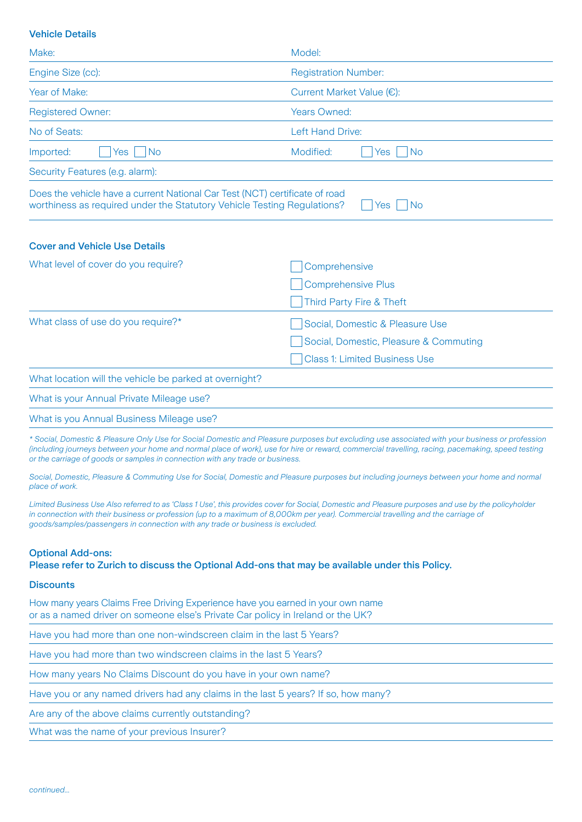# Vehicle Details

| Make:                                                                                                                                                  | Model:                                 |
|--------------------------------------------------------------------------------------------------------------------------------------------------------|----------------------------------------|
| Engine Size (cc):                                                                                                                                      | <b>Registration Number:</b>            |
| Year of Make:                                                                                                                                          | Current Market Value (€):              |
| <b>Registered Owner:</b>                                                                                                                               | <b>Years Owned:</b>                    |
| No of Seats:                                                                                                                                           | Left Hand Drive:                       |
| Imported:<br><b>No</b><br><b>Yes</b>                                                                                                                   | Modified:<br><b>No</b><br>Yes          |
| Security Features (e.g. alarm):                                                                                                                        |                                        |
| Does the vehicle have a current National Car Test (NCT) certificate of road<br>worthiness as required under the Statutory Vehicle Testing Regulations? | Yes   No                               |
| <b>Cover and Vehicle Use Details</b>                                                                                                                   |                                        |
| What level of cover do you require?                                                                                                                    | Comprehensive                          |
|                                                                                                                                                        | <b>Comprehensive Plus</b>              |
|                                                                                                                                                        | Third Party Fire & Theft               |
| What class of use do you require?*                                                                                                                     | Social, Domestic & Pleasure Use        |
|                                                                                                                                                        | Social, Domestic, Pleasure & Commuting |
|                                                                                                                                                        | <b>Class 1: Limited Business Use</b>   |
| What location will the vehicle be parked at overnight?                                                                                                 |                                        |
| What is your Annual Private Mileage use?                                                                                                               |                                        |
| What is you Annual Business Mileage use?                                                                                                               |                                        |

*\* Social, Domestic & Pleasure Only Use for Social Domestic and Pleasure purposes but excluding use associated with your business or profession (including journeys between your home and normal place of work), use for hire or reward, commercial travelling, racing, pacemaking, speed testing or the carriage of goods or samples in connection with any trade or business.*

*Social, Domestic, Pleasure & Commuting Use for Social, Domestic and Pleasure purposes but including journeys between your home and normal place of work.*

*Limited Business Use Also referred to as 'Class 1 Use', this provides cover for Social, Domestic and Pleasure purposes and use by the policyholder*  in connection with their business or profession (up to a maximum of 8,000km per year). Commercial travelling and the carriage of *goods/samples/passengers in connection with any trade or business is excluded.*

#### Optional Add-ons:

Please refer to Zurich to discuss the Optional Add-ons that may be available under this Policy.

#### **Discounts**

How many years Claims Free Driving Experience have you earned in your own name or as a named driver on someone else's Private Car policy in Ireland or the UK?

Have you had more than one non-windscreen claim in the last 5 Years?

Have you had more than two windscreen claims in the last 5 Years?

How many years No Claims Discount do you have in your own name?

Have you or any named drivers had any claims in the last 5 years? If so, how many?

Are any of the above claims currently outstanding?

What was the name of your previous Insurer?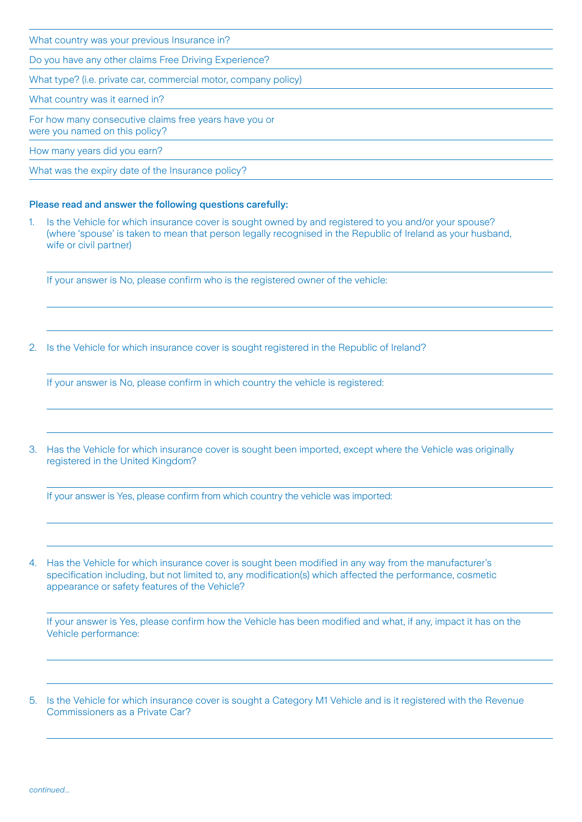What country was your previous Insurance in? Do you have any other claims Free Driving Experience? What type? (i.e. private car, commercial motor, company policy)

What country was it earned in?

For how many consecutive claims free years have you or were you named on this policy?

How many years did you earn?

What was the expiry date of the Insurance policy?

# Please read and answer the following questions carefully:

1. Is the Vehicle for which insurance cover is sought owned by and registered to you and/or your spouse? (where 'spouse' is taken to mean that person legally recognised in the Republic of Ireland as your husband, wife or civil partner)

If your answer is No, please confirm who is the registered owner of the vehicle:

2. Is the Vehicle for which insurance cover is sought registered in the Republic of Ireland?

If your answer is No, please confirm in which country the vehicle is registered:

3. Has the Vehicle for which insurance cover is sought been imported, except where the Vehicle was originally registered in the United Kingdom?

If your answer is Yes, please confirm from which country the vehicle was imported:

4. Has the Vehicle for which insurance cover is sought been modified in any way from the manufacturer's specification including, but not limited to, any modification(s) which affected the performance, cosmetic appearance or safety features of the Vehicle?

If your answer is Yes, please confirm how the Vehicle has been modified and what, if any, impact it has on the Vehicle performance:

5. Is the Vehicle for which insurance cover is sought a Category M1 Vehicle and is it registered with the Revenue Commissioners as a Private Car?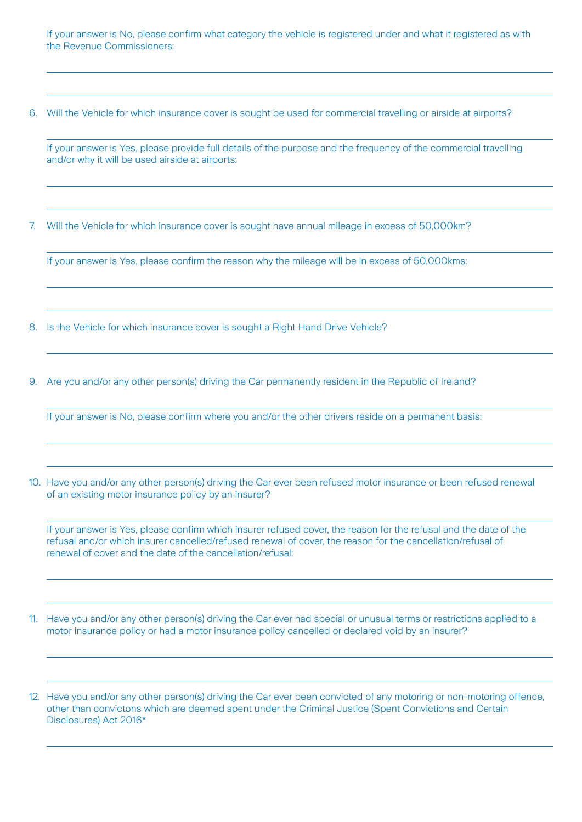If your answer is No, please confirm what category the vehicle is registered under and what it registered as with the Revenue Commissioners:

6. Will the Vehicle for which insurance cover is sought be used for commercial travelling or airside at airports?

If your answer is Yes, please provide full details of the purpose and the frequency of the commercial travelling and/or why it will be used airside at airports:

7. Will the Vehicle for which insurance cover is sought have annual mileage in excess of 50,000km?

If your answer is Yes, please confirm the reason why the mileage will be in excess of 50,000kms:

8. Is the Vehicle for which insurance cover is sought a Right Hand Drive Vehicle?

9. Are you and/or any other person(s) driving the Car permanently resident in the Republic of Ireland?

If your answer is No, please confirm where you and/or the other drivers reside on a permanent basis:

10. Have you and/or any other person(s) driving the Car ever been refused motor insurance or been refused renewal of an existing motor insurance policy by an insurer?

If your answer is Yes, please confirm which insurer refused cover, the reason for the refusal and the date of the refusal and/or which insurer cancelled/refused renewal of cover, the reason for the cancellation/refusal of renewal of cover and the date of the cancellation/refusal:

11. Have you and/or any other person(s) driving the Car ever had special or unusual terms or restrictions applied to a motor insurance policy or had a motor insurance policy cancelled or declared void by an insurer?

12. Have you and/or any other person(s) driving the Car ever been convicted of any motoring or non-motoring offence, other than convictons which are deemed spent under the Criminal Justice (Spent Convictions and Certain Disclosures) Act 2016\*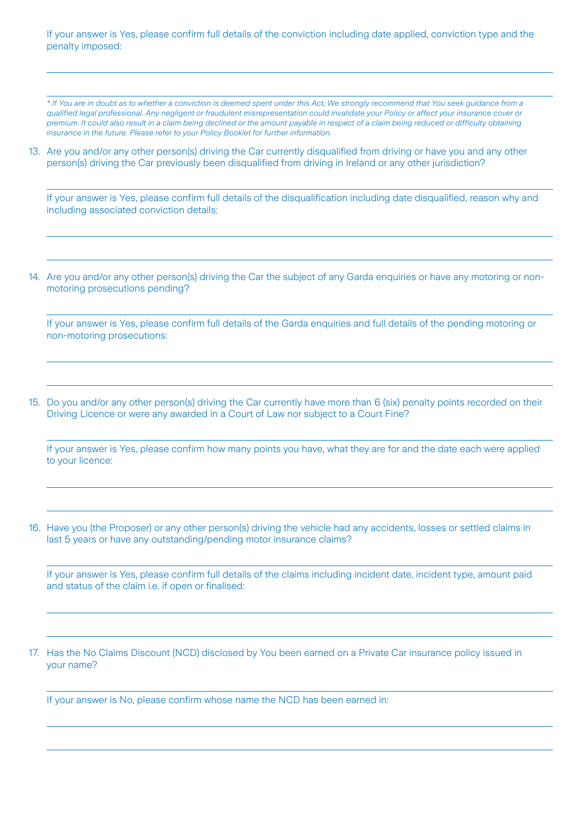If your answer is Yes, please confirm full details of the conviction including date applied, conviction type and the penalty imposed:

*\* If You are in doubt as to whether a conviction is deemed spent under this Act, We strongly recommend that You seek guidance from a qualified legal professional. Any negligent or fraudulent misrepresentation could invalidate your Policy or affect your insurance cover or premium. It could also result in a claim being declined or the amount payable in respect of a claim being reduced or difficulty obtaining insurance in the future. Please refer to your Policy Booklet for further information.*

13. Are you and/or any other person(s) driving the Car currently disqualified from driving or have you and any other person(s) driving the Car previously been disqualified from driving in Ireland or any other jurisdiction?

If your answer is Yes, please confirm full details of the disqualification including date disqualified, reason why and including associated conviction details:

14. Are you and/or any other person(s) driving the Car the subject of any Garda enquiries or have any motoring or nonmotoring prosecutions pending?

If your answer is Yes, please confirm full details of the Garda enquiries and full details of the pending motoring or non-motoring prosecutions:

15. Do you and/or any other person(s) driving the Car currently have more than 6 (six) penalty points recorded on their Driving Licence or were any awarded in a Court of Law nor subject to a Court Fine?

If your answer is Yes, please confirm how many points you have, what they are for and the date each were applied to your licence:

16. Have you (the Proposer) or any other person(s) driving the vehicle had any accidents, losses or settled claims in last 5 years or have any outstanding/pending motor insurance claims?

If your answer is Yes, please confirm full details of the claims including incident date, incident type, amount paid and status of the claim i.e. if open or finalised:

17. Has the No Claims Discount (NCD) disclosed by You been earned on a Private Car insurance policy issued in your name?

If your answer is No, please confirm whose name the NCD has been earned in: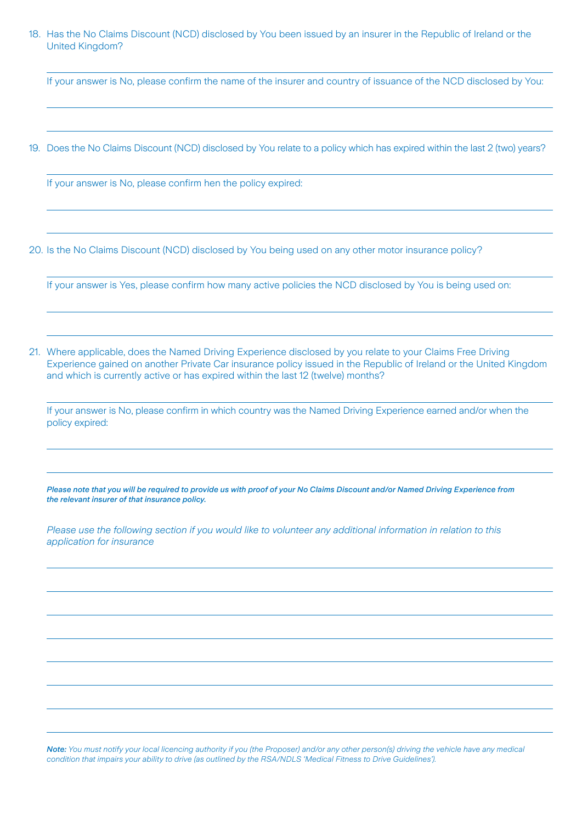# 18. Has the No Claims Discount (NCD) disclosed by You been issued by an insurer in the Republic of Ireland or the United Kingdom?

If your answer is No, please confirm the name of the insurer and country of issuance of the NCD disclosed by You:

19. Does the No Claims Discount (NCD) disclosed by You relate to a policy which has expired within the last 2 (two) years?

If your answer is No, please confirm hen the policy expired:

20. Is the No Claims Discount (NCD) disclosed by You being used on any other motor insurance policy?

If your answer is Yes, please confirm how many active policies the NCD disclosed by You is being used on:

21. Where applicable, does the Named Driving Experience disclosed by you relate to your Claims Free Driving Experience gained on another Private Car insurance policy issued in the Republic of Ireland or the United Kingdom and which is currently active or has expired within the last 12 (twelve) months?

If your answer is No, please confirm in which country was the Named Driving Experience earned and/or when the policy expired:

*Please note that you will be required to provide us with proof of your No Claims Discount and/or Named Driving Experience from the relevant insurer of that insurance policy.*

*Please use the following section if you would like to volunteer any additional information in relation to this application for insurance*

*Note: You must notify your local licencing authority if you (the Proposer) and/or any other person(s) driving the vehicle have any medical condition that impairs your ability to drive (as outlined by the RSA/NDLS 'Medical Fitness to Drive Guidelines').*